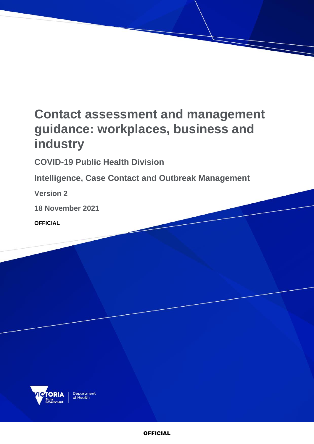# **Contact assessment and management guidance: workplaces, business and industry**

**COVID-19 Public Health Division** 

**Intelligence, Case Contact and Outbreak Management**

**Version 2**

**18 November 2021**

**OFFICIAL**

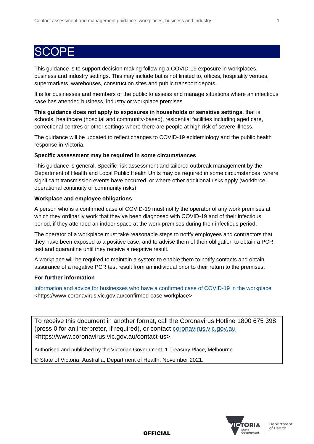### **SCOPF**

This guidance is to support decision making following a COVID-19 exposure in workplaces, business and industry settings. This may include but is not limited to, offices, hospitality venues, supermarkets, warehouses, construction sites and public transport depots.

It is for businesses and members of the public to assess and manage situations where an infectious case has attended business, industry or workplace premises.

**This guidance does not apply to exposures in households or sensitive settings**, that is schools, healthcare (hospital and community-based), residential facilities including aged care, correctional centres or other settings where there are people at high risk of severe illness.

The guidance will be updated to reflect changes to COVID-19 epidemiology and the public health response in Victoria.

#### **Specific assessment may be required in some circumstances**

This guidance is general. Specific risk assessment and tailored outbreak management by the Department of Health and Local Public Health Units may be required in some circumstances, where significant transmission events have occurred, or where other additional risks apply (workforce, operational continuity or community risks).

#### **Workplace and employee obligations**

A person who is a confirmed case of COVID-19 must notify the operator of any work premises at which they ordinarily work that they've been diagnosed with COVID-19 and of their infectious period, if they attended an indoor space at the work premises during their infectious period.

The operator of a workplace must take reasonable steps to notify employees and contractors that they have been exposed to a positive case, and to advise them of their obligation to obtain a PCR test and quarantine until they receive a negative result.

A workplace will be required to maintain a system to enable them to notify contacts and obtain assurance of a negative PCR test result from an individual prior to their return to the premises.

### **For further information**

[Information and advice for businesses who have a confirmed case of COVID-19 in the workplace](https://www.coronavirus.vic.gov.au/confirmed-case-workplace) <https://www.coronavirus.vic.gov.au/confirmed-case-workplace>

To receive this document in another format, call the Coronavirus Hotline 1800 675 398 (press 0 for an interpreter, if required), or contact [coronavirus.vic.gov.au](https://www.coronavirus.vic.gov.au/contact-us) <https://www.coronavirus.vic.gov.au/contact-us>.

Authorised and published by the Victorian Government, 1 Treasury Place, Melbourne.

© State of Victoria, Australia, Department of Health, November 2021.



Department of Health

**OFFICIAL**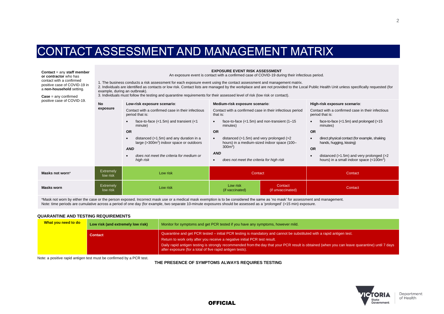### CONTACT ASSESSMENT AND MANAGEMENT MATRIX

**Contact** = any **staff member or contractor** who has contact with a confirmed positive case of COVID-19 in a **non-household** setting.

**Case** = any confirmed positive case of COVID-19. **EXPOSURE EVENT RISK ASSESSMENT**

An exposure event is contact with a confirmed case of COVID-19 during their infectious period.

1. The business conducts a risk assessment for each exposure event using the contact assessment and management matrix.

2. Individuals are identified as contacts or low risk. Contact lists are managed by the workplace and are not provided to the Local Public Health Unit unless specifically requested (for example, during an outbreak).

3. Individuals must follow the testing and quarantine requirements for their assessed level of risk (low risk or contact).

| DOSITIVE CASE OF COVID-19. | <b>No</b>                    | Low-risk exposure scenario:                                                                                                                                       | Medium-risk exposure scenario:                                                                                                                                                                 | High-risk exposure scenario:                                                                                                                                                                             |
|----------------------------|------------------------------|-------------------------------------------------------------------------------------------------------------------------------------------------------------------|------------------------------------------------------------------------------------------------------------------------------------------------------------------------------------------------|----------------------------------------------------------------------------------------------------------------------------------------------------------------------------------------------------------|
| exposure                   |                              | Contact with a confirmed case in their infectious<br>period that is:                                                                                              | Contact with a confirmed case in their infectious period<br>that is:                                                                                                                           | Contact with a confirmed case in their infectious<br>period that is:                                                                                                                                     |
|                            |                              | face-to-face $(<1.5m)$ and transient $(<1$<br>minute)                                                                                                             | face-to-face $(<1.5m)$ and non-transient $(1-15)$<br>$\bullet$<br>minutes)                                                                                                                     | face-to-face $(<1.5m)$ and prolonged $(>15$<br>minutes)                                                                                                                                                  |
|                            |                              | <b>OR</b>                                                                                                                                                         | <b>OR</b>                                                                                                                                                                                      | <b>OR</b>                                                                                                                                                                                                |
|                            |                              | distanced $(>1.5m)$ and any duration in a<br>large $($ >300 $m2)$ indoor space or outdoors<br><b>AND</b><br>does not meet the criteria for medium or<br>high risk | distanced $(>1.5m)$ and very prolonged $(>2)$<br>$\bullet$<br>hours) in a medium-sized indoor space (100-<br>$300m^2$ )<br><b>AND</b><br>does not meet the criteria for high risk<br>$\bullet$ | direct physical contact (for example, shaking<br>hands, hugging, kissing)<br><b>OR</b><br>distanced $(>1.5m)$ and very prolonged $(>2)$<br>hours) in a small indoor space $\left($ < 100m <sup>2</sup> ) |
| Masks not worn*            | <b>Extremely</b><br>low risk | Low risk                                                                                                                                                          | Contact                                                                                                                                                                                        | Contact                                                                                                                                                                                                  |
| <b>Masks worn</b>          | <b>Extremely</b><br>low risk | Low risk                                                                                                                                                          | Low risk<br>Contact<br>(if unvaccinated)<br>(if vaccinated)                                                                                                                                    | Contact                                                                                                                                                                                                  |

\*Mask not worn by either the case or the person exposed. Incorrect mask use or a medical mask exemption is to be considered the same as 'no mask' for assessment and management. Note: time periods are cumulative across a period of one day (for example, two separate 10-minute exposures should be assessed as a 'prolonged' (>15 min) exposure.

#### **QUARANTINE AND TESTING REQUIREMENTS**

| What you need to do | Low risk (and extremely low risk) | Monitor for symptoms and get PCR tested if you have any symptoms, however mild.                                                                                                                               |  |
|---------------------|-----------------------------------|---------------------------------------------------------------------------------------------------------------------------------------------------------------------------------------------------------------|--|
|                     | Contact                           | Quarantine and get PCR tested – initial PCR testing is mandatory and cannot be substituted with a rapid antigen test.<br>Return to work only after you receive a negative initial PCR test result.            |  |
|                     |                                   | Daily rapid antigen testing is strongly recommended from the day that your PCR result is obtained (when you can leave quarantine) until 7 days 1<br>after exposure (for a total of five rapid antigen tests). |  |

Note: a positive rapid antigen test must be confirmed by a PCR test.

**THE PRESENCE OF SYMPTOMS ALWAYS REQUIRES TESTING**